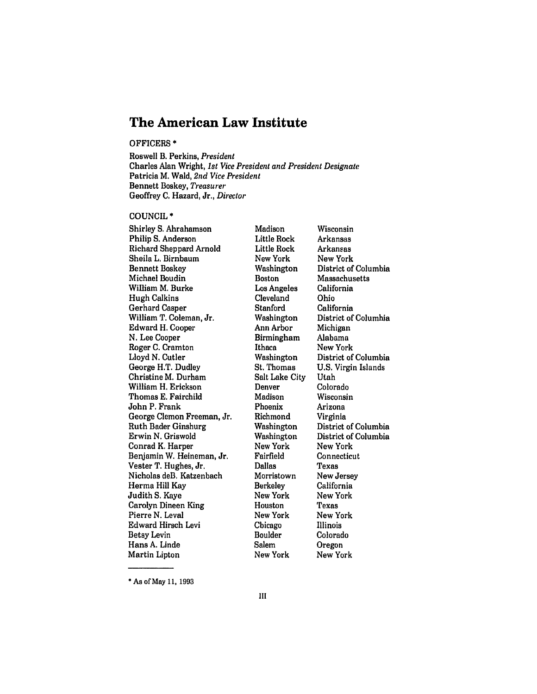# **The American Law Institute**

### OFFICERS \*

Roswell B. Perkins, *President* Charles Alan Wright, *1st Vice President and President Designate* Patricia **M.** Wald, *2nd Vice President* Bennett Boskey, *Treasurer* Geoffrey **C.** Hazard, Jr., *Director*

### COUNCIL \*

Shirley **S.** Abrahamson Philip **S.** Anderson Richard Sheppard Arnold Sheila L. Birnbaum Bennett Boskey Michael Boudin William M. Burke Hugh Calkins Gerhard Casper William T. Coleman, Jr. Edward H. Cooper **N.** Lee Cooper Roger **C.** Cramton Lloyd **N.** Cutler George H.T. Dudley Christine M. Durham William H. Erickson Thomas **E.** Fairchild John P. Frank George Clemon Freeman, Jr. Ruth Bader Ginsburg Erwin **N.** Griswold Conrad K. Harper Benjamin W. Heineman, Jr. Vester T. Hughes, Jr. Nicholas deB. Katzenbach Herma Hill Kay Judith **S.** Kaye Carolyn Dineen King Pierre **N.** Leval Edward Hirsch Levi Betsy Levin Hans **A.** Linde Martin Lipton

Madison Little Rock Little Rock New York Washington Boston Los Angeles Cleveland Stanford Washington Ann Arbor Birmingham Ithaca Washington St. Thomas Salt Lake City Denver Madison Phoenix Richmond Washington Washington New York Fairfield Dallas Morristown Berkeley New York Houston New York Chicago Boulder Salem New York

Wisconsin Arkansas Arkansas New York District of Columbia Massachusetts California Ohio California District of Columbia Michigan Alabama New York District of Columbia **U.S.** Virgin Islands Utah Colorado Wisconsin Arizona Virginia District of Columbia District of Columbia New York Connecticut Texas New Jersey California New York Texas New York Illinois Colorado Oregon New York

**\*** As of May **11, 1993**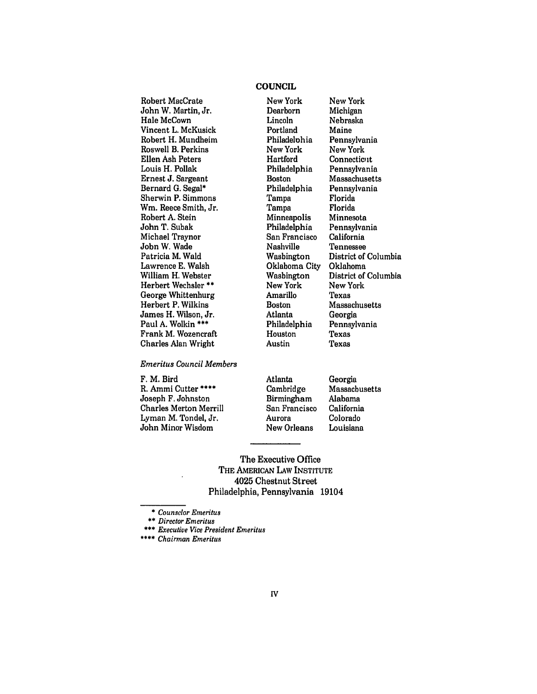## **COUNCIL**

Robert MacCrate John W. Martin, Jr. Hale McCown Vincent L. McKusick Robert H. Mundheim Roswell B. Perkins Ellen Ash Peters Louis H. Pollak Ernest **J.** Sargeant Bernard **G.** Segal\* Sherwin P. Simmons Wm. Reece Smith, Jr. Robert **A.** Stein John T. Subak Michael Traynor John W. Wade Patricia M. Wald Lawrence **E.** Walsh William H. Webster Herbert Wechsler **\*\*** George Whittenburg Herbert P. Wilkins James H. Wilson, Jr. Paul **A.** Wolkin **\*\*\*** Frank M. Wozencraft Charles Alan Wright

# *Emeritus Council Members*

F. M. Bird R. Ammi Cutter \*\*\*\* Joseph F. Johnston Charles Merton Merrill Lyman M. Tondel, Jr. John Minor Wisdom

New York Dearborn Lincoln Portland Philadelohia New York Hartford Philadelphia Boston Philadelphia Tampa Tampa Minneapolis Philadelphia San Francisco Nashville Washington Oklahoma City Washington New York Amarillo Boston Atlanta Philadelphia Houston Austin

New York Michigan Nebraska Maine Pennsylvania New York Connecticut Pennsylvania Massachusetts Pennsylvania Florida Florida Minnesota Pennsylvania California Tennessee District of Columbia Oklahoma District of Columbia New York Texas Massachusetts Georgia Pennsylvania Texas Texas

Atlanta Cambridge Birmingham San Francisco Aurora New Orleans Georgia **Massachusetts** Alabama California Colorado Louisiana

The Executive Office THE AMERICAN LAW INSTITUTE 4025 Chestnut Street Philadelphia, Pennsylvania 19104

*\* Counselor Emeritus*

*\*\* Director Emeritus*

**\*** *Executive Vice President Emeritus*

*Chairman Emeritus*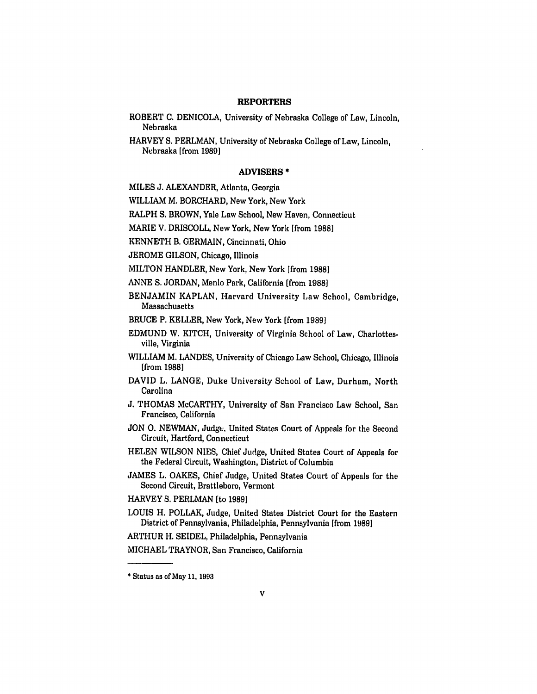#### **REPORTERS**

- ROBERT **C. DENICOLA,** University of Nebraska College of Law, Lincoln, Nebraska
- HARVEY **S.** PERLMAN, University of Nebraska College of Law, Lincoln, Nebraska [from **1989]**

### ADVISERS **\***

MILES J. ALEXANDER, Atlanta, Georgia

WILLIAM M. BORCHARD, New York, New York

RALPH S. BROWN, Yale Law School, New Haven, Connecticut

MARIE V. DRISCOLL, New York, New York [from **1988]**

KENNETH B. GERMAIN, Cincinnati, Ohio

JEROME GILSON, Chicago, Illinois

MILTON HANDLER, New York, New York [from **1988]**

ANNE S. JORDAN, Menlo Park, California [from **1988]**

BENJAMIN KAPLAN, Harvard University Law School, Cambridge, Massachusetts

BRUCE P. KELLER, New York, New York [from **1989]**

- EDMUND W. KITCH, University of Virginia School of Law, Charlottesville, Virginia
- WILLIAM M. LANDES, University of Chicago Law School, Chicago, Illinois [from **1988]**
- DAVID L. LANGE, Duke University School of Law, Durham, North Carolina
- **J. THOMAS** McCARTHY, University of San Francisco Law School, San Francisco, California
- **JON 0. NEWMAN,** Judge. United States Court of Appeals for the Second Circuit, Hartford, Connecticut
- **HELEN** WILSON **NIES,** Chief Judge, United States Court of Appeals for the Federal Circuit, Washington, District of Columbia
- **JAMES** L. **OAKES,** Chief Judge, United States Court of Appeals for the Second Circuit, Brattleboro, Vermont

HARVEY **S.** PERLMAN [to **1989]**

LOUIS H. POLLAK, Judge, United States District Court for the Eastern District of Pennsylvania, Philadelphia, Pennsylvania [from **1989]**

ARTHUR H. **SEIDEL,** Philadelphia, Pennsylvania

**MICHAEL** TRAYNOR, San Francisco, California

**<sup>•</sup>** Status as of May **11, 1993**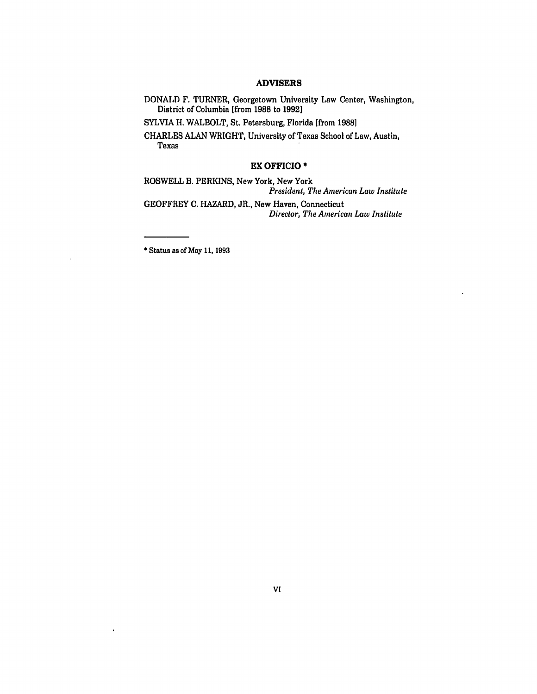# ADVISERS

DONALD F. TURNER, Georgetown University Law Center, Washington, District of Columbia [from **1988** to **1992]**

SYLVIA H. WALBOLT, St. Petersburg, Florida [from **1988]**

CHARLES **ALAN** WRIGHT, University of Texas School of Law, Austin, Texas

## EX OFFICIO **\***

ROSWELL B. PERKINS, New York, New York *President, The American Law Institute* GEOFFREY **C.** HAZARD, JR., New Haven, Connecticut *Director, The American Law Institute*

• Status as of May 11, 1993

 $\ddot{\phantom{0}}$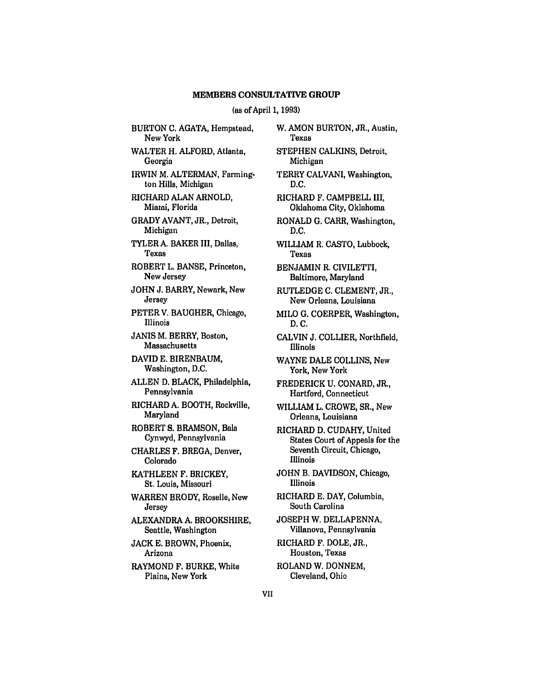#### (as of April **1, 1993)**

BURTON C. AGATA, Hempstead, New York WALTER H. ALFORD, Atlanta, Georgia IRWIN M. ALTERMAN, Farmington Hills, Michigan RICHARD ALAN ARNOLD, Miami, Florida GRADY **AVANT,** JR., Detroit, Michigan TYLER **A.** BAKER III, Dallas, Texas ROBERT L. **BANSE,** Princeton, New Jersey **JOHN J.** BARRY, Newark, New Jersey PETER V. **BAUGHER,** Chicago, Illinois **JANIS** M. BERRY, Boston, Massachusetts DAVID **E.** BIRENBAUM, Washington, **D.C. ALLEN D.** BLACK, Philadelphia, Pennsylvania RICHARD **A.** BOOTH, Rockville, Maryland ROBERT S. BRAMSON, Bala Cynwyd, Pennsylvania CHARLES F. BREGA, Denver, Colorado **KATHLEEN** F. BRICKEY, St. Louis, Missouri WARREN BRODY, Roselle, New Jersey ALEXANDRA **A.** BROOKSHIRE, Seattle, Washington **JACK E.** BROWN, Phoenix, Arizona RAYMOND F. BURKE, White Plains, New York

W. AMON BURTON, JR., Austin, Texas STEPHEN CALKINS, Detroit, Michigan TERRY CALVANI, Washington, **D.C.** RICHARD F. CAMPBELL III, Oklahoma City, Oklahoma RONALD G. CARR, Washington, **D.C.** WILLIAM R. CASTO, Lubbock, Texas BENJAMIN R. CIVILETTI, Baltimore, Maryland RUTLEDGE **C.** CLEMENT, JR., New Orleans, Louisiana MILO **G.** COERPER, Washington, **D.C.** CALVIN J. COLLIER, Northfield, Illinois WAYNE DALE COLLINS, New York, New York FREDERICK U. CONARD, JR., Hartford, Connecticut WILLIAM L. CROWE, SR., New Orleans, Louisiana RICHARD D. CUDAHY, United States Court of Appeals for the Seventh Circuit, Chicago, Illinois JOHN B. DAVIDSON, Chicago, Illinois RICHARD E. DAY, Columbia, South Carolina JOSEPH W. DELLAPENNA, Villanova, Pennsylvania RICHARD F. DOLE, JR., Houston, Texas ROLAND W. DONNEM, Cleveland, Ohio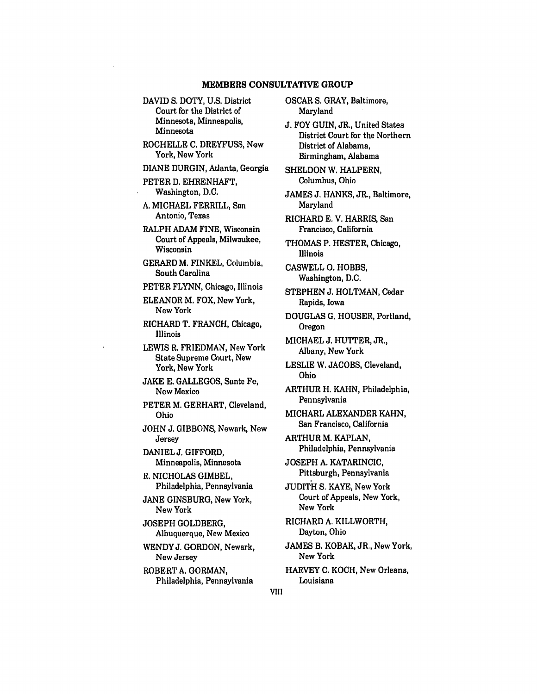- **DAVID S.** DOTY, **U.S.** District Court for the District of Minnesota, Minneapolis, Minnesota
- ROCHELLE **C. DREYFUSS,** New York, New York
- **DIANE DURGIN,** Atlanta, Georgia
- PETER **D.** EHRENHAFT, Washington, **D.C.**
- **A. MICHAEL** FERRILL, San Antonio, Texas
- RALPH **ADAM FINE,** Wisconsin Court of Appeals, Milwaukee, Wisconsin
- GERARD M. **FINKEL,** Columbia, South Carolina
- PETER **FLYNN,** Chicago, Illinois
- **ELEANOR** M. FOX, New York, New York
- RICHARD T. **FRANCH,** Chicago, Illinois
- LEWIS R. FRIEDMAN, New York State Supreme Court, New York, New York
- **JAKE E. GALLEGOS,** Sante Fe, New Mexico
- PETER **M.** GERHART, Cleveland, Ohio
- **JOHN J. GIBBONS,** Newark, New **Jersey**
- DANIEL **J.** GIFFORD, Minneapolis, Minnesota
- R. NICHOLAS GIMBEL, Philadelphia, Pennsylvania
- **JANE** GINSBURG, New York, New York
- **JOSEPH** GOLDBERG, Albuquerque, New Mexico
- WENDY **J.** GORDON, Newark, New Jersey
- ROBERT **A.** GORMAN, Philadelphia, Pennsylvania
- OSCAR **S.** GRAY, Baltimore, Maryland
- **J.** FOY **GUIN,** JR., United States District Court for the Northern District of Alabama, Birmingham, Alabama
- **SHELDON** W. HALPERN, Columbus, Ohio
- **JAMES J. HANKS,** JR., Baltimore, Maryland
- RICHARD **E.** V. HARRIS, San Francisco, California
- **THOMAS** P. HESTER, Chicago, Illinois
- **CASWELL 0.** HOBBS, Washington, **D.C.**
- **STEPHEN J. HOLTMAN,** Cedar Rapids, Iowa
- **DOUGLAS G. HOUSER,** Portland, **Oregon**
- **MICHAEL J.** HUTTER, JR., Albany, New York
- LESLIE W. **JACOBS,** Cleveland, Ohio
- ARTHUR H. **KAHN,** Philadelphia, Pennsylvania
- **MICHAEL** ALEXANDER **KAHN,** San Francisco, California
- ARTHUR M. **KAPLAN,** Philadelphia, Pennsylvania
- **JOSEPH A.** KATARINCIC, Pittsburgh, Pennsylvania
- **JUDITH S.** KAYE, New York Court of Appeals, New York, New York
- RICHARD **A.** KILLWORTH, Dayton, Ohio
- **JAMES** B. KOBAK, JR., New York, New York
- HARVEY **C.** KOCH, New Orleans, Louisiana
- VIII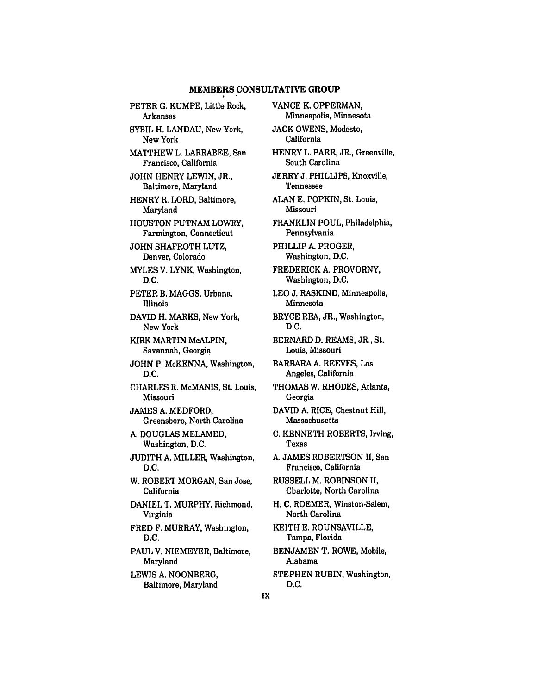PETER G. KUMPE, Little Rock, Arkansas

SYBIL H. LANDAU, New York, New York

MATTHEW L. LARRABEE, San Francisco, California

JOHN HENRY LEWIN, JR., Baltimore, Maryland

HENRY R. LORD, Baltimore, Maryland

HOUSTON PUTNAM LOWRY, Farmington, Connecticut

JOHN SHAFROTH LUTZ, Denver, Colorado

MYLES V. LYNK, Washington, D.C.

PETER B. MAGGS, Urbana, Illinois

DAVID H. MARKS, New York, New York

KIRK MARTIN McALPIN, Savannah, Georgia

JOHN P. McKENNA, Washington, D.C.

CHARLES R. McMANIS, St. Louis, Missouri

JAMES A. MEDFORD, Greensboro, North Carolina

A. DOUGLAS MELAMED, Washington, D.C.

JUDITH A. MILLER, Washington, D.C.

W. ROBERT MORGAN, San Jose, California

DANIEL T. MURPHY, Richmond, Virginia

FRED F. MURRAY, Washington, **D.C.**

**PAUL** V. NIEMEYER, Baltimore, Maryland

LEWIS **A. NOONBERG,** Baltimore, Maryland **VANCE** K. OPPERMAN, Minneapolis, Minnesota **JACK** OWENS, Modesto, California HENRY L. PARR, JR., Greenville, South Carolina JERRY **J.** PHILLIPS, Knoxville, Tennessee ALAN E. POPKIN, St. Louis, Missouri FRANKLIN POUL, Philadelphia, Pennsylvania PHILLIP A. PROGER, Washington, D.C. FREDERICK A. PROVORNY, Washington, D.C. LEO J. RASKIND, Minneapolis, Minnesota BRYCE REA, JR., Washington, D.C. BERNARD D. REAMS, JR., St. Louis, Missouri BARBARA A. REEVES, Los Angeles, California THOMAS W. RHODES, Atlanta, Georgia DAVID A. RICE, Chestnut Hill, Massachusetts C. KENNETH ROBERTS, Irving, Texas A. JAMES ROBERTSON **I1,** San Francisco, California RUSSELL M. ROBINSON II, Charlotte, North Carolina H. C. ROEMER, Winston-Salem, North Carolina KEITH E. ROUNSAVILLE, Tampa, Florida BENJAMEN T. ROWE, Mobile, Alabama **STEPHEN** RUBIN, Washington,

IX

**D.C.**